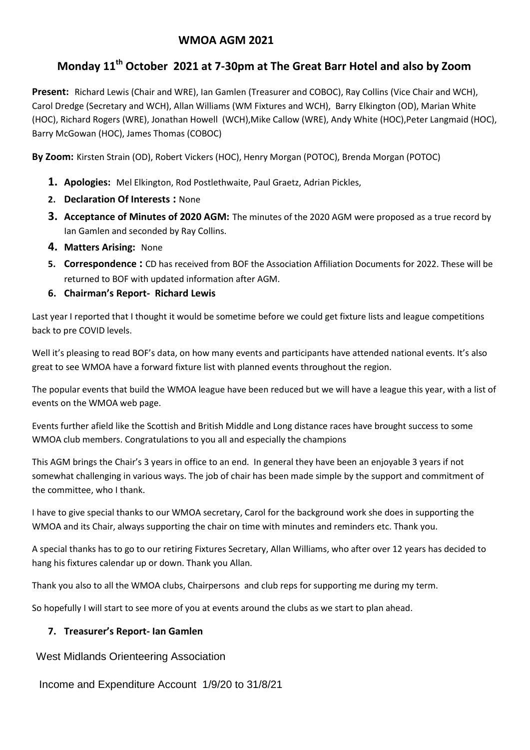# **WMOA AGM 2021**

# **Monday 11th October 2021 at 7-30pm at The Great Barr Hotel and also by Zoom**

**Present:** Richard Lewis (Chair and WRE), Ian Gamlen (Treasurer and COBOC), Ray Collins (Vice Chair and WCH), Carol Dredge (Secretary and WCH), Allan Williams (WM Fixtures and WCH), Barry Elkington (OD), Marian White (HOC), Richard Rogers (WRE), Jonathan Howell (WCH),Mike Callow (WRE), Andy White (HOC),Peter Langmaid (HOC), Barry McGowan (HOC), James Thomas (COBOC)

**By Zoom:** Kirsten Strain (OD), Robert Vickers (HOC), Henry Morgan (POTOC), Brenda Morgan (POTOC)

- **1. Apologies:** Mel Elkington, Rod Postlethwaite, Paul Graetz, Adrian Pickles,
- **2. Declaration Of Interests :** None
- **3. Acceptance of Minutes of 2020 AGM:** The minutes of the 2020 AGM were proposed as a true record by Ian Gamlen and seconded by Ray Collins.
- **4. Matters Arising:** None
- **5. Correspondence :** CD has received from BOF the Association Affiliation Documents for 2022. These will be returned to BOF with updated information after AGM.
- **6. Chairman's Report Richard Lewis**

Last year I reported that I thought it would be sometime before we could get fixture lists and league competitions back to pre COVID levels.

Well it's pleasing to read BOF's data, on how many events and participants have attended national events. It's also great to see WMOA have a forward fixture list with planned events throughout the region.

The popular events that build the WMOA league have been reduced but we will have a league this year, with a list of events on the WMOA web page.

Events further afield like the Scottish and British Middle and Long distance races have brought success to some WMOA club members. Congratulations to you all and especially the champions

This AGM brings the Chair's 3 years in office to an end. In general they have been an enjoyable 3 years if not somewhat challenging in various ways. The job of chair has been made simple by the support and commitment of the committee, who I thank.

I have to give special thanks to our WMOA secretary, Carol for the background work she does in supporting the WMOA and its Chair, always supporting the chair on time with minutes and reminders etc. Thank you.

A special thanks has to go to our retiring Fixtures Secretary, Allan Williams, who after over 12 years has decided to hang his fixtures calendar up or down. Thank you Allan.

Thank you also to all the WMOA clubs, Chairpersons and club reps for supporting me during my term.

So hopefully I will start to see more of you at events around the clubs as we start to plan ahead.

## **7. Treasurer's Report- Ian Gamlen**

West Midlands Orienteering Association

Income and Expenditure Account 1/9/20 to 31/8/21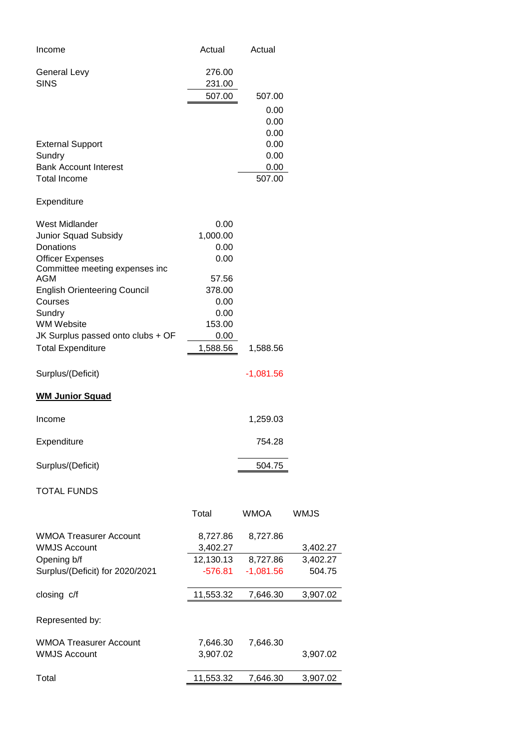| Income                                                    | Actual           | Actual       |             |
|-----------------------------------------------------------|------------------|--------------|-------------|
| <b>General Levy</b><br><b>SINS</b>                        | 276.00<br>231.00 |              |             |
|                                                           | 507.00           | 507.00       |             |
|                                                           |                  | 0.00         |             |
|                                                           |                  | 0.00         |             |
| <b>External Support</b>                                   |                  | 0.00<br>0.00 |             |
| Sundry                                                    |                  | 0.00         |             |
| <b>Bank Account Interest</b>                              |                  | 0.00         |             |
| <b>Total Income</b>                                       |                  | 507.00       |             |
| Expenditure                                               |                  |              |             |
| West Midlander                                            | 0.00             |              |             |
| Junior Squad Subsidy                                      | 1,000.00         |              |             |
| Donations                                                 | 0.00             |              |             |
| <b>Officer Expenses</b><br>Committee meeting expenses inc | 0.00             |              |             |
| AGM                                                       | 57.56            |              |             |
| <b>English Orienteering Council</b>                       | 378.00           |              |             |
| Courses                                                   | 0.00             |              |             |
| Sundry                                                    | 0.00             |              |             |
| <b>WM Website</b><br>JK Surplus passed onto clubs + OF    | 153.00<br>0.00   |              |             |
| <b>Total Expenditure</b>                                  | 1,588.56         | 1,588.56     |             |
|                                                           |                  |              |             |
| Surplus/(Deficit)                                         |                  | $-1,081.56$  |             |
| <b>WM Junior Squad</b>                                    |                  |              |             |
| Income                                                    |                  | 1,259.03     |             |
| Expenditure                                               |                  | 754.28       |             |
| Surplus/(Deficit)                                         |                  | 504.75       |             |
| <b>TOTAL FUNDS</b>                                        |                  |              |             |
|                                                           | Total            | <b>WMOA</b>  | <b>WMJS</b> |
| <b>WMOA Treasurer Account</b>                             | 8,727.86         | 8,727.86     |             |
| <b>WMJS Account</b>                                       | 3,402.27         |              | 3,402.27    |
| Opening b/f                                               | 12,130.13        | 8,727.86     | 3,402.27    |
| Surplus/(Deficit) for 2020/2021                           | $-576.81$        | $-1,081.56$  | 504.75      |
| closing c/f                                               | 11,553.32        | 7,646.30     | 3,907.02    |
| Represented by:                                           |                  |              |             |
| <b>WMOA Treasurer Account</b>                             | 7,646.30         | 7,646.30     |             |
| <b>WMJS Account</b>                                       | 3,907.02         |              | 3,907.02    |
|                                                           |                  |              |             |
| Total                                                     | 11,553.32        | 7,646.30     | 3,907.02    |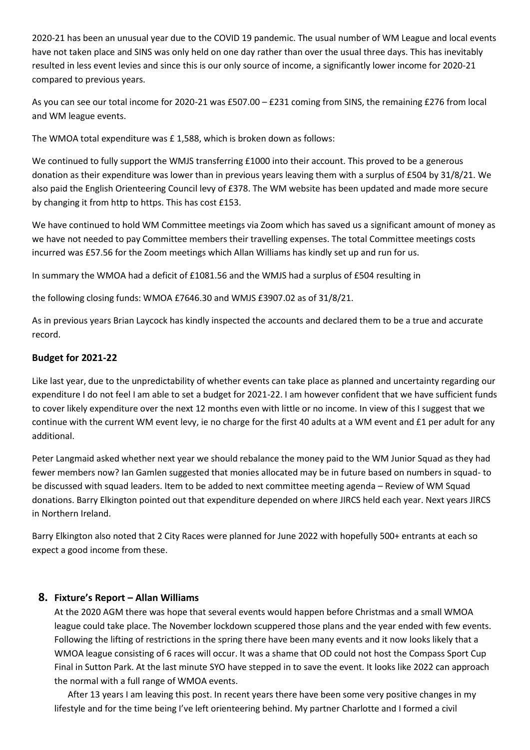2020-21 has been an unusual year due to the COVID 19 pandemic. The usual number of WM League and local events have not taken place and SINS was only held on one day rather than over the usual three days. This has inevitably resulted in less event levies and since this is our only source of income, a significantly lower income for 2020-21 compared to previous years.

As you can see our total income for 2020-21 was £507.00 – £231 coming from SINS, the remaining £276 from local and WM league events.

The WMOA total expenditure was £ 1,588, which is broken down as follows:

We continued to fully support the WMJS transferring £1000 into their account. This proved to be a generous donation as their expenditure was lower than in previous years leaving them with a surplus of £504 by 31/8/21. We also paid the English Orienteering Council levy of £378. The WM website has been updated and made more secure by changing it from http to https. This has cost £153.

We have continued to hold WM Committee meetings via Zoom which has saved us a significant amount of money as we have not needed to pay Committee members their travelling expenses. The total Committee meetings costs incurred was £57.56 for the Zoom meetings which Allan Williams has kindly set up and run for us.

In summary the WMOA had a deficit of £1081.56 and the WMJS had a surplus of £504 resulting in

the following closing funds: WMOA £7646.30 and WMJS £3907.02 as of 31/8/21.

As in previous years Brian Laycock has kindly inspected the accounts and declared them to be a true and accurate record.

#### **Budget for 2021-22**

Like last year, due to the unpredictability of whether events can take place as planned and uncertainty regarding our expenditure I do not feel I am able to set a budget for 2021-22. I am however confident that we have sufficient funds to cover likely expenditure over the next 12 months even with little or no income. In view of this I suggest that we continue with the current WM event levy, ie no charge for the first 40 adults at a WM event and £1 per adult for any additional.

Peter Langmaid asked whether next year we should rebalance the money paid to the WM Junior Squad as they had fewer members now? Ian Gamlen suggested that monies allocated may be in future based on numbers in squad- to be discussed with squad leaders. Item to be added to next committee meeting agenda – Review of WM Squad donations. Barry Elkington pointed out that expenditure depended on where JIRCS held each year. Next years JIRCS in Northern Ireland.

Barry Elkington also noted that 2 City Races were planned for June 2022 with hopefully 500+ entrants at each so expect a good income from these.

#### **8. Fixture's Report – Allan Williams**

At the 2020 AGM there was hope that several events would happen before Christmas and a small WMOA league could take place. The November lockdown scuppered those plans and the year ended with few events. Following the lifting of restrictions in the spring there have been many events and it now looks likely that a WMOA league consisting of 6 races will occur. It was a shame that OD could not host the Compass Sport Cup Final in Sutton Park. At the last minute SYO have stepped in to save the event. It looks like 2022 can approach the normal with a full range of WMOA events.

 After 13 years I am leaving this post. In recent years there have been some very positive changes in my lifestyle and for the time being I've left orienteering behind. My partner Charlotte and I formed a civil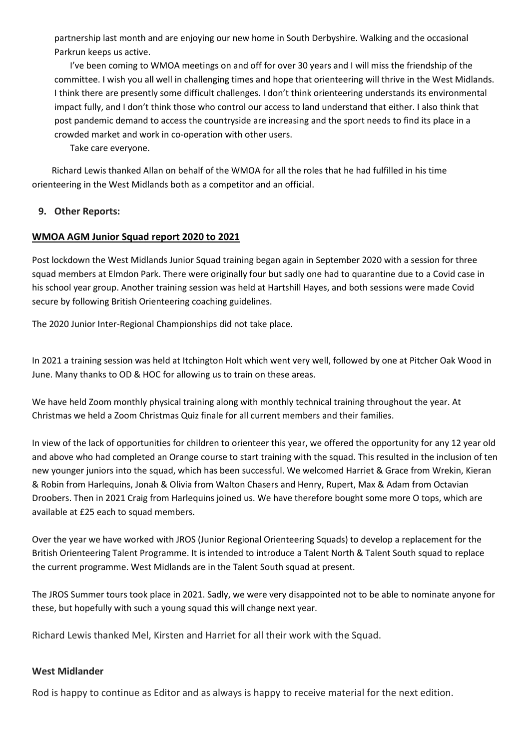partnership last month and are enjoying our new home in South Derbyshire. Walking and the occasional Parkrun keeps us active.

 I've been coming to WMOA meetings on and off for over 30 years and I will miss the friendship of the committee. I wish you all well in challenging times and hope that orienteering will thrive in the West Midlands. I think there are presently some difficult challenges. I don't think orienteering understands its environmental impact fully, and I don't think those who control our access to land understand that either. I also think that post pandemic demand to access the countryside are increasing and the sport needs to find its place in a crowded market and work in co-operation with other users.

Take care everyone.

Richard Lewis thanked Allan on behalf of the WMOA for all the roles that he had fulfilled in his time orienteering in the West Midlands both as a competitor and an official.

#### **9. Other Reports:**

#### **WMOA AGM Junior Squad report 2020 to 2021**

Post lockdown the West Midlands Junior Squad training began again in September 2020 with a session for three squad members at Elmdon Park. There were originally four but sadly one had to quarantine due to a Covid case in his school year group. Another training session was held at Hartshill Hayes, and both sessions were made Covid secure by following British Orienteering coaching guidelines.

The 2020 Junior Inter-Regional Championships did not take place.

In 2021 a training session was held at Itchington Holt which went very well, followed by one at Pitcher Oak Wood in June. Many thanks to OD & HOC for allowing us to train on these areas.

We have held Zoom monthly physical training along with monthly technical training throughout the year. At Christmas we held a Zoom Christmas Quiz finale for all current members and their families.

In view of the lack of opportunities for children to orienteer this year, we offered the opportunity for any 12 year old and above who had completed an Orange course to start training with the squad. This resulted in the inclusion of ten new younger juniors into the squad, which has been successful. We welcomed Harriet & Grace from Wrekin, Kieran & Robin from Harlequins, Jonah & Olivia from Walton Chasers and Henry, Rupert, Max & Adam from Octavian Droobers. Then in 2021 Craig from Harlequins joined us. We have therefore bought some more O tops, which are available at £25 each to squad members.

Over the year we have worked with JROS (Junior Regional Orienteering Squads) to develop a replacement for the British Orienteering Talent Programme. It is intended to introduce a Talent North & Talent South squad to replace the current programme. West Midlands are in the Talent South squad at present.

The JROS Summer tours took place in 2021. Sadly, we were very disappointed not to be able to nominate anyone for these, but hopefully with such a young squad this will change next year.

Richard Lewis thanked Mel, Kirsten and Harriet for all their work with the Squad.

#### **West Midlander**

Rod is happy to continue as Editor and as always is happy to receive material for the next edition.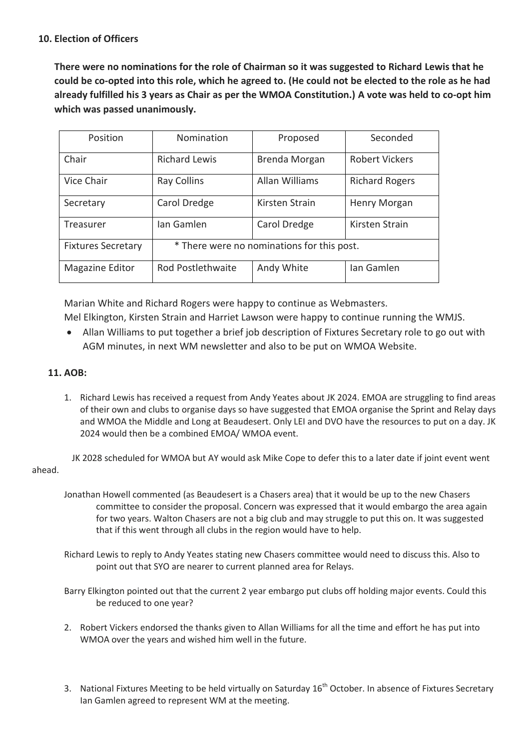#### **10. Election of Officers**

**There were no nominations for the role of Chairman so it was suggested to Richard Lewis that he could be co-opted into this role, which he agreed to. (He could not be elected to the role as he had already fulfilled his 3 years as Chair as per the WMOA Constitution.) A vote was held to co-opt him which was passed unanimously.** 

| Position                  | Nomination                                 | Proposed              | Seconded              |  |
|---------------------------|--------------------------------------------|-----------------------|-----------------------|--|
| Chair                     | <b>Richard Lewis</b>                       | Brenda Morgan         | <b>Robert Vickers</b> |  |
| Vice Chair                | <b>Ray Collins</b>                         | <b>Allan Williams</b> | <b>Richard Rogers</b> |  |
| Secretary                 | Carol Dredge                               | Kirsten Strain        | Henry Morgan          |  |
| Treasurer                 | Ian Gamlen                                 | Carol Dredge          | Kirsten Strain        |  |
| <b>Fixtures Secretary</b> | * There were no nominations for this post. |                       |                       |  |
| Magazine Editor           | Rod Postlethwaite                          | Andy White            | Ian Gamlen            |  |

Marian White and Richard Rogers were happy to continue as Webmasters.

Mel Elkington, Kirsten Strain and Harriet Lawson were happy to continue running the WMJS.

 Allan Williams to put together a brief job description of Fixtures Secretary role to go out with AGM minutes, in next WM newsletter and also to be put on WMOA Website.

### **11. AOB:**

1. Richard Lewis has received a request from Andy Yeates about JK 2024. EMOA are struggling to find areas of their own and clubs to organise days so have suggested that EMOA organise the Sprint and Relay days and WMOA the Middle and Long at Beaudesert. Only LEI and DVO have the resources to put on a day. JK 2024 would then be a combined EMOA/ WMOA event.

 JK 2028 scheduled for WMOA but AY would ask Mike Cope to defer this to a later date if joint event went ahead.

Jonathan Howell commented (as Beaudesert is a Chasers area) that it would be up to the new Chasers committee to consider the proposal. Concern was expressed that it would embargo the area again for two years. Walton Chasers are not a big club and may struggle to put this on. It was suggested that if this went through all clubs in the region would have to help.

Richard Lewis to reply to Andy Yeates stating new Chasers committee would need to discuss this. Also to point out that SYO are nearer to current planned area for Relays.

Barry Elkington pointed out that the current 2 year embargo put clubs off holding major events. Could this be reduced to one year?

- 2. Robert Vickers endorsed the thanks given to Allan Williams for all the time and effort he has put into WMOA over the years and wished him well in the future.
- 3. National Fixtures Meeting to be held virtually on Saturday 16<sup>th</sup> October. In absence of Fixtures Secretary Ian Gamlen agreed to represent WM at the meeting.